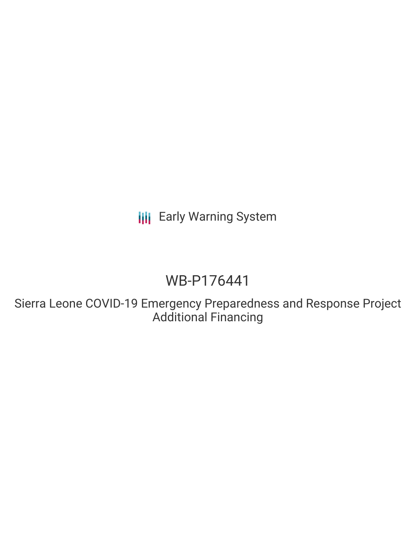**III** Early Warning System

# WB-P176441

Sierra Leone COVID-19 Emergency Preparedness and Response Project Additional Financing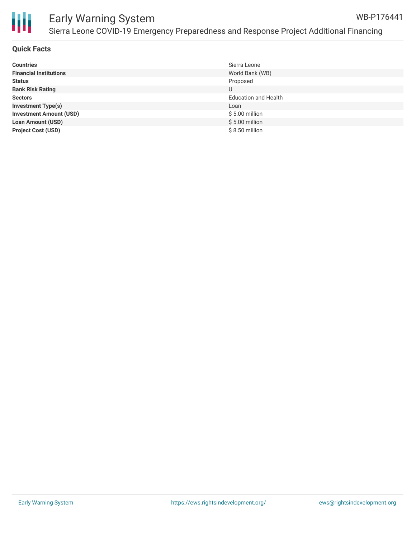

#### Early Warning System Sierra Leone COVID-19 Emergency Preparedness and Response Project Additional Financing WB-P176441

#### **Quick Facts**

| <b>Countries</b>               | Sierra Leone                |
|--------------------------------|-----------------------------|
| <b>Financial Institutions</b>  | World Bank (WB)             |
| <b>Status</b>                  | Proposed                    |
| <b>Bank Risk Rating</b>        | U                           |
| <b>Sectors</b>                 | <b>Education and Health</b> |
| <b>Investment Type(s)</b>      | Loan                        |
| <b>Investment Amount (USD)</b> | $$5.00$ million             |
| <b>Loan Amount (USD)</b>       | $$5.00$ million             |
| <b>Project Cost (USD)</b>      | $$8.50$ million             |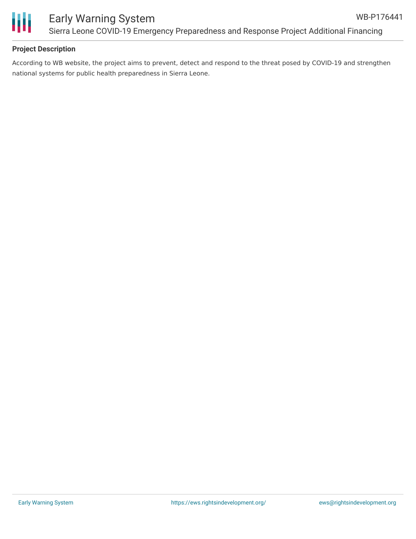

Ш

### **Project Description**

According to WB website, the project aims to prevent, detect and respond to the threat posed by COVID-19 and strengthen national systems for public health preparedness in Sierra Leone.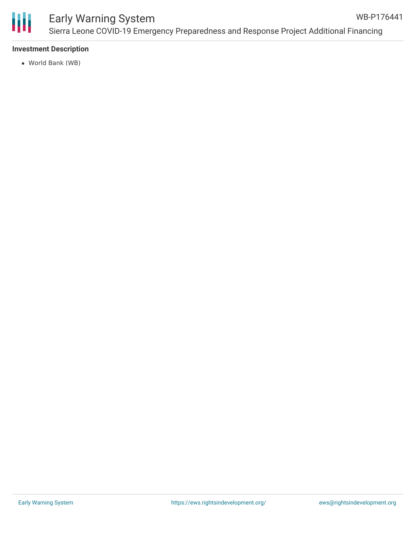

## Early Warning System

#### **Investment Description**

World Bank (WB)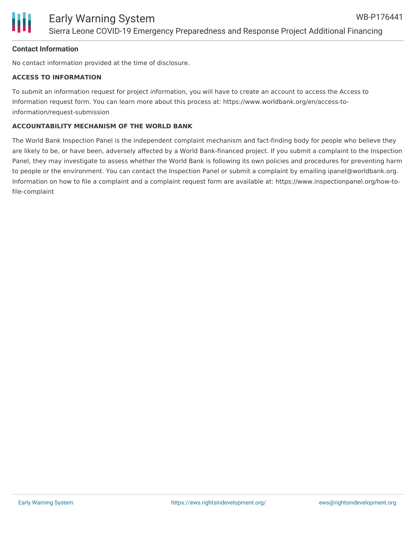

#### **Contact Information**

No contact information provided at the time of disclosure.

#### **ACCESS TO INFORMATION**

To submit an information request for project information, you will have to create an account to access the Access to Information request form. You can learn more about this process at: https://www.worldbank.org/en/access-toinformation/request-submission

#### **ACCOUNTABILITY MECHANISM OF THE WORLD BANK**

The World Bank Inspection Panel is the independent complaint mechanism and fact-finding body for people who believe they are likely to be, or have been, adversely affected by a World Bank-financed project. If you submit a complaint to the Inspection Panel, they may investigate to assess whether the World Bank is following its own policies and procedures for preventing harm to people or the environment. You can contact the Inspection Panel or submit a complaint by emailing ipanel@worldbank.org. Information on how to file a complaint and a complaint request form are available at: https://www.inspectionpanel.org/how-tofile-complaint